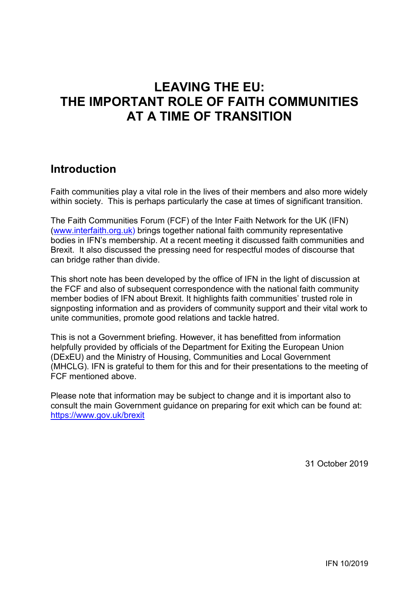# **LEAVING THE EU: THE IMPORTANT ROLE OF FAITH COMMUNITIES AT A TIME OF TRANSITION**

### **Introduction**

Faith communities play a vital role in the lives of their members and also more widely within society. This is perhaps particularly the case at times of significant transition.

The Faith Communities Forum (FCF) of the Inter Faith Network for the UK (IFN) [\(www.interfaith.org.uk\)](http://www.interfaith.org.uk/) brings together national faith community representative bodies in IFN's membership. At a recent meeting it discussed faith communities and Brexit. It also discussed the pressing need for respectful modes of discourse that can bridge rather than divide.

This short note has been developed by the office of IFN in the light of discussion at the FCF and also of subsequent correspondence with the national faith community member bodies of IFN about Brexit. It highlights faith communities' trusted role in signposting information and as providers of community support and their vital work to unite communities, promote good relations and tackle hatred.

This is not a Government briefing. However, it has benefitted from information helpfully provided by officials of the Department for Exiting the European Union (DExEU) and the Ministry of Housing, Communities and Local Government (MHCLG). IFN is grateful to them for this and for their presentations to the meeting of FCF mentioned above.

Please note that information may be subject to change and it is important also to consult the main Government guidance on preparing for exit which can be found at: <https://www.gov.uk/brexit>

31 October 2019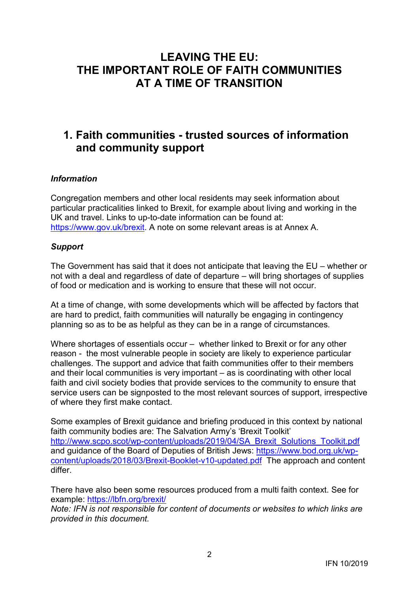## **LEAVING THE EU: THE IMPORTANT ROLE OF FAITH COMMUNITIES AT A TIME OF TRANSITION**

## **1. Faith communities - trusted sources of information and community support**

#### *Information*

Congregation members and other local residents may seek information about particular practicalities linked to Brexit, for example about living and working in the UK and travel. Links to up-to-date information can be found at: [https://www.gov.uk/brexit.](https://www.gov.uk/brexit) A note on some relevant areas is at Annex A.

#### *Support*

The Government has said that it does not anticipate that leaving the EU – whether or not with a deal and regardless of date of departure – will bring shortages of supplies of food or medication and is working to ensure that these will not occur.

At a time of change, with some developments which will be affected by factors that are hard to predict, faith communities will naturally be engaging in contingency planning so as to be as helpful as they can be in a range of circumstances.

Where shortages of essentials occur – whether linked to Brexit or for any other reason - the most vulnerable people in society are likely to experience particular challenges. The support and advice that faith communities offer to their members and their local communities is very important – as is coordinating with other local faith and civil society bodies that provide services to the community to ensure that service users can be signposted to the most relevant sources of support, irrespective of where they first make contact.

Some examples of Brexit guidance and briefing produced in this context by national faith community bodies are: The Salvation Army's 'Brexit Toolkit' [http://www.scpo.scot/wp-content/uploads/2019/04/SA\\_Brexit\\_Solutions\\_Toolkit.pdf](http://www.scpo.scot/wp-content/uploads/2019/04/SA_Brexit_Solutions_Toolkit.pdf) and guidance of the Board of Deputies of British Jews: [https://www.bod.org.uk/wp](https://www.bod.org.uk/wp-content/uploads/2018/03/Brexit-Booklet-v10-updated.pdf)[content/uploads/2018/03/Brexit-Booklet-v10-updated.pdf](https://www.bod.org.uk/wp-content/uploads/2018/03/Brexit-Booklet-v10-updated.pdf) The approach and content differ.

There have also been some resources produced from a multi faith context. See for example:<https://lbfn.org/brexit/>

*Note: IFN is not responsible for content of documents or websites to which links are provided in this document.*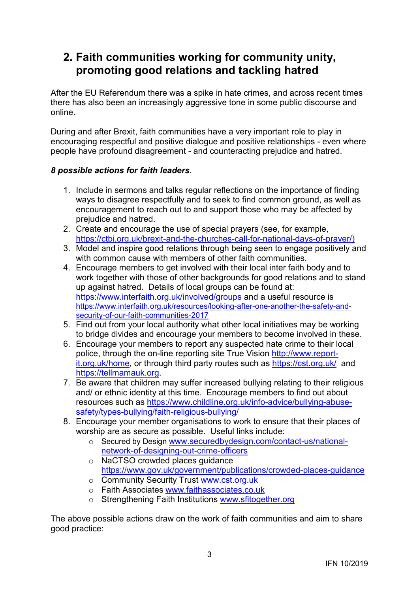## **2. Faith communities working for community unity, promoting good relations and tackling hatred**

After the EU Referendum there was a spike in hate crimes, and across recent times there has also been an increasingly aggressive tone in some public discourse and online.

During and after Brexit, faith communities have a very important role to play in encouraging respectful and positive dialogue and positive relationships - even where people have profound disagreement - and counteracting prejudice and hatred.

### *8 possible actions for faith leaders*.

- 1. Include in sermons and talks regular reflections on the importance of finding ways to disagree respectfully and to seek to find common ground, as well as encouragement to reach out to and support those who may be affected by prejudice and hatred.
- 2. Create and encourage the use of special prayers (see, for example, [https://ctbi.org.uk/brexit-and-the-churches-call-for-national-days-of-prayer/\)](https://ctbi.org.uk/brexit-and-the-churches-call-for-national-days-of-prayer/)
- 3. Model and inspire good relations through being seen to engage positively and with common cause with members of other faith communities.
- 4. Encourage members to get involved with their local inter faith body and to work together with those of other backgrounds for good relations and to stand up against hatred. Details of local groups can be found at: <https://www.interfaith.org.uk/involved/groups> and a useful resource is [https://www.interfaith.org.uk/resources/looking-after-one-another-the-safety-and](https://www.interfaith.org.uk/resources/looking-after-one-another-the-safety-and-security-of-our-faith-communities-2017)[security-of-our-faith-communities-2017](https://www.interfaith.org.uk/resources/looking-after-one-another-the-safety-and-security-of-our-faith-communities-2017)
- 5. Find out from your local authority what other local initiatives may be working to bridge divides and encourage your members to become involved in these.
- 6. Encourage your members to report any suspected hate crime to their local police, through the on-line reporting site True Vision [http://www.report](http://www.report-it.org.uk/home)[it.org.uk/home,](http://www.report-it.org.uk/home) or through third party routes such as<https://cst.org.uk/> and [https://tellmamauk.org.](https://tellmamauk.org/)
- 7. Be aware that children may suffer increased bullying relating to their religious and/ or ethnic identity at this time. Encourage members to find out about resources such as [https://www.childline.org.uk/info-advice/bullying-abuse](https://www.childline.org.uk/info-advice/bullying-abuse-safety/types-bullying/faith-religious-bullying/)[safety/types-bullying/faith-religious-bullying/](https://www.childline.org.uk/info-advice/bullying-abuse-safety/types-bullying/faith-religious-bullying/)
- 8. Encourage your member organisations to work to ensure that their places of worship are as secure as possible. Useful links include:
	- o Secured by Design [www.securedbydesign.com/contact-us/national](http://www.securedbydesign.com/contact-us/national-network-of-designing-out-crime-officers)[network-of-designing-out-crime-officers](http://www.securedbydesign.com/contact-us/national-network-of-designing-out-crime-officers)
	- o NaCTSO crowded places guidance <https://www.gov.uk/government/publications/crowded-places-guidance>
	- o Community Security Trust [www.cst.org.uk](http://www.cst.org.uk/)
	- o Faith Associates [www.faithassociates.co.uk](http://www.faithassociates.co.uk/)
	- o Strengthening Faith Institutions [www.sfitogether.org](http://www.sfitogether.org/)

The above possible actions draw on the work of faith communities and aim to share good practice: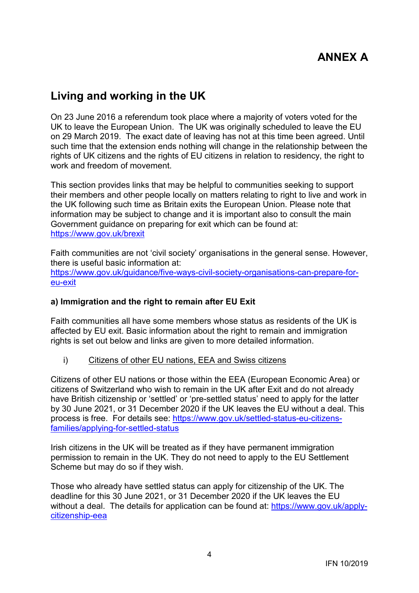## **ANNEX A**

### **Living and working in the UK**

On 23 June 2016 a referendum took place where a majority of voters voted for the UK to leave the European Union. The UK was originally scheduled to leave the EU on 29 March 2019. The exact date of leaving has not at this time been agreed. Until such time that the extension ends nothing will change in the relationship between the rights of UK citizens and the rights of EU citizens in relation to residency, the right to work and freedom of movement.

This section provides links that may be helpful to communities seeking to support their members and other people locally on matters relating to right to live and work in the UK following such time as Britain exits the European Union. Please note that information may be subject to change and it is important also to consult the main Government guidance on preparing for exit which can be found at: <https://www.gov.uk/brexit>

Faith communities are not 'civil society' organisations in the general sense. However, there is useful basic information at: [https://www.gov.uk/guidance/five-ways-civil-society-organisations-can-prepare-for](https://www.gov.uk/guidance/five-ways-civil-society-organisations-can-prepare-for-eu-exit)[eu-exit](https://www.gov.uk/guidance/five-ways-civil-society-organisations-can-prepare-for-eu-exit)

#### **a) Immigration and the right to remain after EU Exit**

Faith communities all have some members whose status as residents of the UK is affected by EU exit. Basic information about the right to remain and immigration rights is set out below and links are given to more detailed information.

i) Citizens of other EU nations, EEA and Swiss citizens

Citizens of other EU nations or those within the EEA (European Economic Area) or citizens of Switzerland who wish to remain in the UK after Exit and do not already have British citizenship or 'settled' or 'pre-settled status' need to apply for the latter by 30 June 2021, or 31 December 2020 if the UK leaves the EU without a deal. This process is free. For details see: [https://www.gov.uk/settled-status-eu-citizens](https://www.gov.uk/settled-status-eu-citizens-families/applying-for-settled-status)[families/applying-for-settled-status](https://www.gov.uk/settled-status-eu-citizens-families/applying-for-settled-status)

Irish citizens in the UK will be treated as if they have permanent immigration permission to remain in the UK. They do not need to apply to the EU Settlement Scheme but may do so if they wish.

Those who already have settled status can apply for citizenship of the UK. The deadline for this 30 June 2021, or 31 December 2020 if the UK leaves the EU without a deal. The details for application can be found at: [https://www.gov.uk/apply](https://www.gov.uk/apply-citizenship-eea)[citizenship-eea](https://www.gov.uk/apply-citizenship-eea)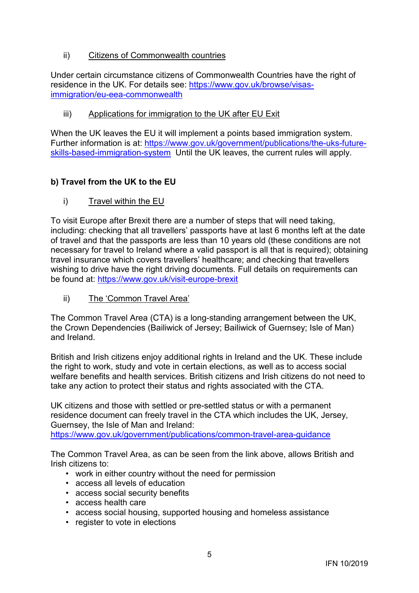ii) Citizens of Commonwealth countries

Under certain circumstance citizens of Commonwealth Countries have the right of residence in the UK. For details see: [https://www.gov.uk/browse/visas](https://www.gov.uk/browse/visas-immigration/eu-eea-commonwealth)[immigration/eu-eea-commonwealth](https://www.gov.uk/browse/visas-immigration/eu-eea-commonwealth)

iii) Applications for immigration to the UK after EU Exit

When the UK leaves the EU it will implement a points based immigration system. Further information is at: [https://www.gov.uk/government/publications/the-uks-future](https://www.gov.uk/government/publications/the-uks-future-skills-based-immigration-system)[skills-based-immigration-system](https://www.gov.uk/government/publications/the-uks-future-skills-based-immigration-system) Until the UK leaves, the current rules will apply.

### **b) Travel from the UK to the EU**

i) Travel within the EU

To visit Europe after Brexit there are a number of steps that will need taking, including: checking that all travellers' passports have at last 6 months left at the date of travel and that the passports are less than 10 years old (these conditions are not necessary for travel to Ireland where a valid passport is all that is required); obtaining travel insurance which covers travellers' healthcare; and checking that travellers wishing to drive have the right driving documents. Full details on requirements can be found at:<https://www.gov.uk/visit-europe-brexit>

ii) The 'Common Travel Area'

The Common Travel Area (CTA) is a long-standing arrangement between the UK, the Crown Dependencies (Bailiwick of Jersey; Bailiwick of Guernsey; Isle of Man) and Ireland.

British and Irish citizens enjoy additional rights in Ireland and the UK. These include the right to work, study and vote in certain elections, as well as to access social welfare benefits and health services. British citizens and Irish citizens do not need to take any action to protect their status and rights associated with the CTA.

UK citizens and those with settled or pre-settled status or with a permanent residence document can freely travel in the CTA which includes the UK, Jersey, Guernsey, the Isle of Man and Ireland:

<https://www.gov.uk/government/publications/common-travel-area-guidance>

The Common Travel Area, as can be seen from the link above, allows British and Irish citizens to:

- work in either country without the need for permission
- access all levels of education
- access social security benefits
- access health care
- access social housing, supported housing and homeless assistance
- register to vote in elections